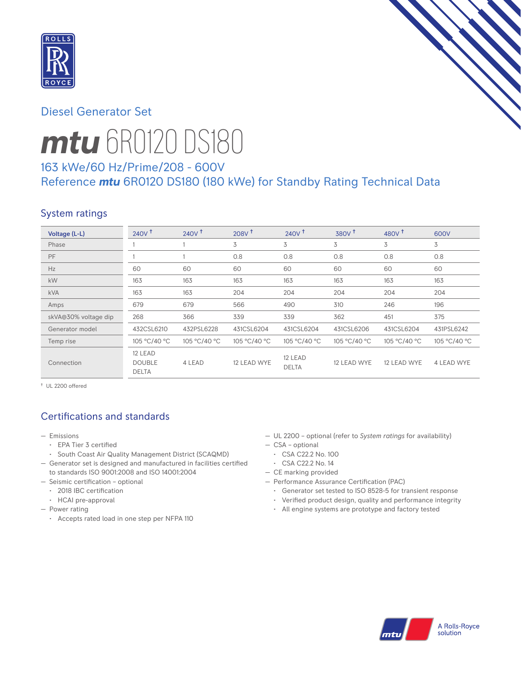

# Diesel Generator Set



# *mtu* 6R0120 DS180

# 163 kWe/60 Hz/Prime/208 - 600V Reference *mtu* 6R0120 DS180 (180 kWe) for Standby Rating Technical Data

# System ratings

| Voltage (L-L)        | $240V$ <sup>+</sup>                      | 240V <sup>†</sup> | 208V <sup>†</sup> | 240V <sup>†</sup>       | 380V <sup>†</sup> | 480 $V†$     | 600V         |
|----------------------|------------------------------------------|-------------------|-------------------|-------------------------|-------------------|--------------|--------------|
| Phase                |                                          |                   | 3                 | 3                       | 3                 | 3            | 3            |
| PF                   |                                          |                   | 0.8               | 0.8                     | 0.8               | 0.8          | 0.8          |
| Hz                   | 60                                       | 60                | 60                | 60                      | 60                | 60           | 60           |
| kW                   | 163                                      | 163               | 163               | 163                     | 163               | 163          | 163          |
| <b>kVA</b>           | 163                                      | 163               | 204               | 204                     | 204               | 204          | 204          |
| Amps                 | 679                                      | 679               | 566               | 490                     | 310               | 246          | 196          |
| skVA@30% voltage dip | 268                                      | 366               | 339               | 339                     | 362               | 451          | 375          |
| Generator model      | 432CSL6210                               | 432PSL6228        | 431CSL6204        | 431CSL6204              | 431CSL6206        | 431CSL6204   | 431PSL6242   |
| Temp rise            | 105 °C/40 °C                             | 105 °C/40 °C      | 105 °C/40 °C      | 105 °C/40 °C            | 105 °C/40 °C      | 105 °C/40 °C | 105 °C/40 °C |
| Connection           | 12 LEAD<br><b>DOUBLE</b><br><b>DELTA</b> | 4 LEAD            | 12 LEAD WYE       | 12 LEAD<br><b>DELTA</b> | 12 LEAD WYE       | 12 LEAD WYE  | 4 LEAD WYE   |

† UL 2200 offered

# Certifications and standards

- Emissions
	- EPA Tier 3 certified
	- South Coast Air Quality Management District (SCAQMD)
- Generator set is designed and manufactured in facilities certified to standards ISO 9001:2008 and ISO 14001:2004
- Seismic certification optional
	- 2018 IBC certification
	- HCAI pre-approval
- Power rating
	- Accepts rated load in one step per NFPA 110
- UL 2200 optional (refer to *System ratings* for availability)
- CSA optional
- CSA C22.2 No. 100
- CSA C22.2 No. 14
- CE marking provided
- Performance Assurance Certification (PAC)
	- Generator set tested to ISO 8528-5 for transient response
	- Verified product design, quality and performance integrity
	- All engine systems are prototype and factory tested

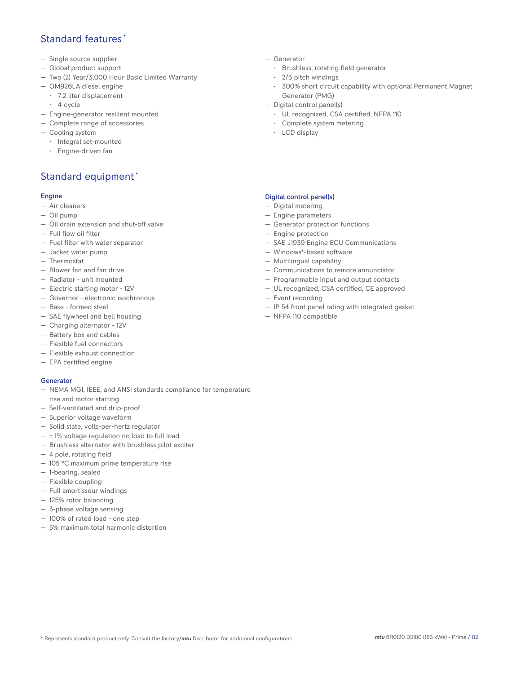## Standard features \*

- Single source supplier
- Global product support
- Two (2) Year/3,000 Hour Basic Limited Warranty
- OM926LA diesel engine
	- 7.2 liter displacement
	- 4-cycle
- Engine-generator resilient mounted
- Complete range of accessories
- Cooling system
	- Integral set-mounted
	- Engine-driven fan

# Standard equipment \*

#### Engine

- Air cleaners
- Oil pump
- Oil drain extension and shut-off valve
- Full flow oil filter
- Fuel filter with water separator
- Jacket water pump
- Thermostat
- Blower fan and fan drive
- Radiator unit mounted
- Electric starting motor 12V
- Governor electronic isochronous
- Base formed steel
- SAE flywheel and bell housing
- Charging alternator 12V
- Battery box and cables
- Flexible fuel connectors
- Flexible exhaust connection
- EPA certified engine

#### Generator

- NEMA MG1, IEEE, and ANSI standards compliance for temperature rise and motor starting
- Self-ventilated and drip-proof
- Superior voltage waveform
- Solid state, volts-per-hertz regulator
- $\pm$  1% voltage regulation no load to full load
- Brushless alternator with brushless pilot exciter
- 4 pole, rotating field
- 105 °C maximum prime temperature rise
- 1-bearing, sealed
- Flexible coupling
- Full amortisseur windings
- 125% rotor balancing
- 3-phase voltage sensing
- 100% of rated load one step
- 5% maximum total harmonic distortion
- Generator
	- Brushless, rotating field generator
	- 2/3 pitch windings
	- 300% short circuit capability with optional Permanent Magnet Generator (PMG)
- Digital control panel(s)
	- UL recognized, CSA certified, NFPA 110
	- Complete system metering
	- LCD display

### Digital control panel(s)

- Digital metering
- Engine parameters
- Generator protection functions
- Engine protection
- SAE J1939 Engine ECU Communications
- Windows®-based software
- Multilingual capability
- Communications to remote annunciator
- Programmable input and output contacts
- UL recognized, CSA certified, CE approved
- Event recording
- IP 54 front panel rating with integrated gasket
- NFPA 110 compatible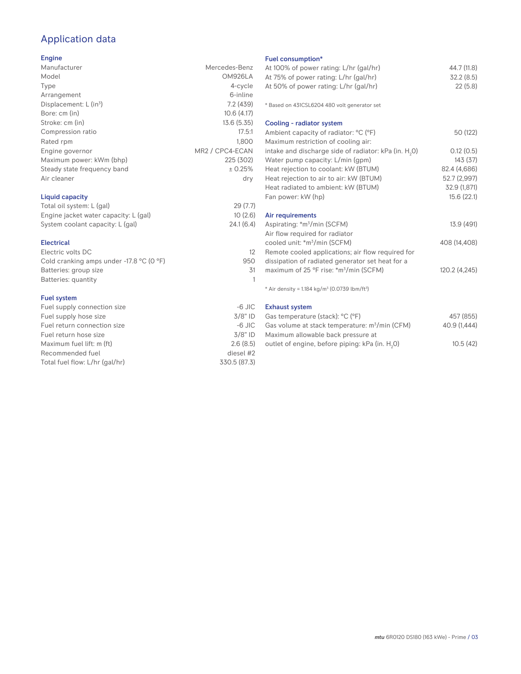# Application data

#### Engine

| Manufacturer                         | Mercedes-Benz   |
|--------------------------------------|-----------------|
| Model                                | OM926LA         |
| Type                                 | 4-cycle         |
| Arrangement                          | 6-inline        |
| Displacement: $L$ (in <sup>3</sup> ) | 7.2(439)        |
| Bore: cm (in)                        | 10.6(4.17)      |
| Stroke: cm (in)                      | 13.6 (5.35)     |
| Compression ratio                    | 17.5:1          |
| Rated rpm                            | 1.800           |
| Engine governor                      | MR2 / CPC4-ECAN |
| Maximum power: kWm (bhp)             | 225 (302)       |
| Steady state frequency band          | ± 0.25%         |
| Air cleaner                          | dry             |
| <b>Liquid capacity</b>               |                 |
|                                      |                 |

## Total oil system: L (gal) 29 (7.7) Engine jacket water capacity: L (gal) 10 (2.6)<br>System coolant capacity: L (gal) 24.1 (6.4) System coolant capacity: L (gal)

### Electrical Electric volts DC 12 Cold cranking amps under -17.8 °C (0 °F) 950 Batteries: group size 31 Batteries: quantity 1

#### Fuel system

| $-6$ JIC     |
|--------------|
| $3/8"$ ID    |
| $-6$ JIC     |
| $3/8"$ ID    |
| 2.6(8.5)     |
| diesel #2    |
| 330.5 (87.3) |
|              |

## Fuel consumption\*

| <b>Fuel Consumption</b><br>At 100% of power rating: L/hr (gal/hr)<br>At 75% of power rating: L/hr (gal/hr)<br>At 50% of power rating: L/hr (gal/hr) | 44.7 (11.8)<br>32.2(8.5)<br>22(5.8) |
|-----------------------------------------------------------------------------------------------------------------------------------------------------|-------------------------------------|
| * Based on 431CSL6204 480 volt generator set                                                                                                        |                                     |
| Cooling - radiator system                                                                                                                           |                                     |
| Ambient capacity of radiator: °C (°F)<br>Maximum restriction of cooling air:                                                                        | 50 (122)                            |
| intake and discharge side of radiator: kPa (in. H <sub>2</sub> O)                                                                                   | 0.12(0.5)                           |
| Water pump capacity: L/min (gpm)                                                                                                                    | 143(37)                             |
| Heat rejection to coolant: kW (BTUM)                                                                                                                | 82.4 (4,686)                        |
| Heat rejection to air to air: kW (BTUM)                                                                                                             | 52.7 (2,997)                        |
| Heat radiated to ambient: kW (BTUM)                                                                                                                 | 32.9 (1,871)                        |
| Fan power: kW (hp)                                                                                                                                  | 15.6(22.1)                          |
| Air requirements                                                                                                                                    |                                     |
| Aspirating: *m <sup>3</sup> /min (SCFM)                                                                                                             | 13.9 (491)                          |
| Air flow required for radiator                                                                                                                      |                                     |
| cooled unit: *m <sup>3</sup> /min (SCFM)                                                                                                            | 408 (14,408)                        |
| Remote cooled applications; air flow required for                                                                                                   |                                     |
| dissipation of radiated generator set heat for a                                                                                                    |                                     |
| maximum of 25 °F rise: *m <sup>3</sup> /min (SCFM)                                                                                                  | 120.2 (4,245)                       |
| * Air density = $1.184 \text{ kg/m}^3$ (0.0739 lbm/ft <sup>3</sup> )                                                                                |                                     |
| <b>Exhaust system</b>                                                                                                                               |                                     |
| $C_{22}$ to me over we fate all $0^{\circ}$ $(0\Gamma)$                                                                                             | AET (OLE)                           |

| Gas temperature (stack): °C (°F)                            | 457 (855)    |
|-------------------------------------------------------------|--------------|
| Gas volume at stack temperature: m <sup>3</sup> /min (CFM)  | 40.9 (1.444) |
| Maximum allowable back pressure at                          |              |
| outlet of engine, before piping: kPa (in. H <sub>2</sub> 0) | 10.5(42)     |
|                                                             |              |